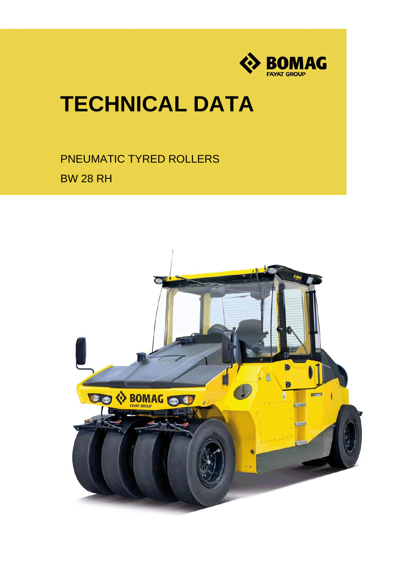

# **TECHNICAL DATA**

PNEUMATIC TYRED ROLLERS BW 28 RH

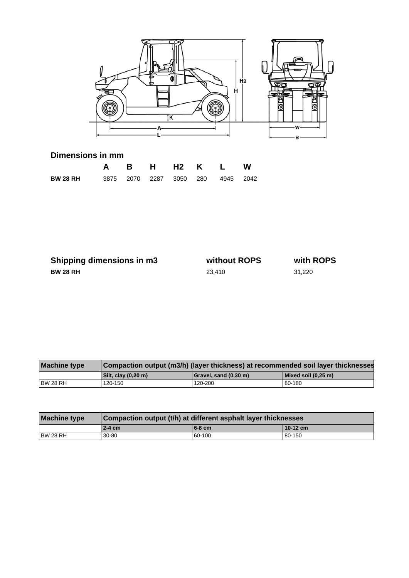

### **Dimensions in mm**

|                                                   |  |  | A B H H2 K L W |  |
|---------------------------------------------------|--|--|----------------|--|
| <b>BW 28 RH</b> 3875 2070 2287 3050 280 4945 2042 |  |  |                |  |

| Shipping dimensions in m3 | without ROPS | with ROPS |
|---------------------------|--------------|-----------|
| <b>BW 28 RH</b>           | 23.410       | 31.220    |

| <b>Machine type</b> | Compaction output (m3/h) (layer thickness) at recommended soil layer thicknesses |                       |                         |  |
|---------------------|----------------------------------------------------------------------------------|-----------------------|-------------------------|--|
|                     | Silt, clay (0,20 m)                                                              | Gravel, sand (0,30 m) | $ $ Mixed soil (0,25 m) |  |
| BW 28 RH            | 120-150                                                                          | 120-200               | 80-180                  |  |

| <b>Machine type</b> | Compaction output (t/h) at different asphalt layer thicknesses |          |            |  |
|---------------------|----------------------------------------------------------------|----------|------------|--|
|                     | $2-4$ cm                                                       | $6-8$ cm | $10-12$ cm |  |
| BW 28 RH            | $30 - 80$                                                      | 60-100   | 80-150     |  |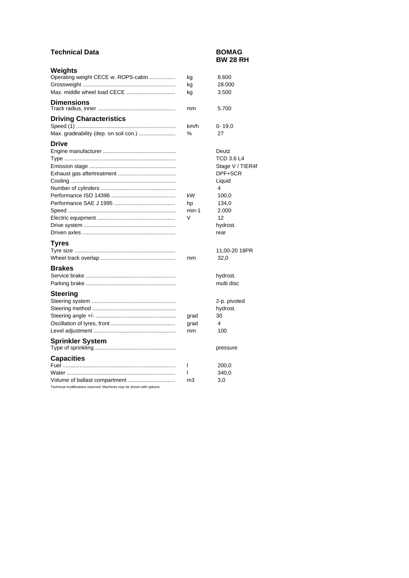### **Technical Data BOMAG**

## **BW 28 RH**

| Weights                               |       |                   |
|---------------------------------------|-------|-------------------|
| Operating weight CECE w. ROPS-cabin   | kg    | 8.600             |
|                                       | kg    | 28.000            |
|                                       | kg    | 3.500             |
| <b>Dimensions</b>                     |       |                   |
|                                       | mm    | 5.700             |
| <b>Driving Characteristics</b>        | km/h  | $0 - 19,0$        |
| Max. gradeability (dep. on soil con.) | %     | 27                |
| <b>Drive</b>                          |       |                   |
|                                       |       | Deutz             |
|                                       |       | <b>TCD 3.6 L4</b> |
|                                       |       | Stage V / TIER4f  |
|                                       |       | DPF+SCR           |
|                                       |       | Liquid            |
|                                       |       | 4                 |
|                                       | kW    | 100,0             |
|                                       | hp    | 134,0             |
|                                       | min-1 | 2.000             |
|                                       | V     | 12                |
|                                       |       | hydrost.          |
|                                       |       | rear              |
| <b>Tyres</b>                          |       |                   |
|                                       |       | 11,00-20 18PR     |
|                                       | mm    | 32,0              |
|                                       |       |                   |
| <b>Brakes</b>                         |       |                   |
|                                       |       | hydrost.          |
|                                       |       | multi disc        |
| <b>Steering</b>                       |       |                   |
|                                       |       | 2-p. pivoted      |
|                                       |       | hydrost.          |
|                                       | grad  | 30                |
|                                       | grad  | 4                 |
|                                       | mm    | 100               |
| <b>Sprinkler System</b>               |       |                   |
|                                       |       | pressure          |
| <b>Capacities</b>                     |       |                   |
|                                       | I     | 200,0             |
|                                       | I     | 340,0             |
| Volume of ballast compartment         | mЗ    | 3,0               |

Technical modifications reserved. Machines may be shown with options.